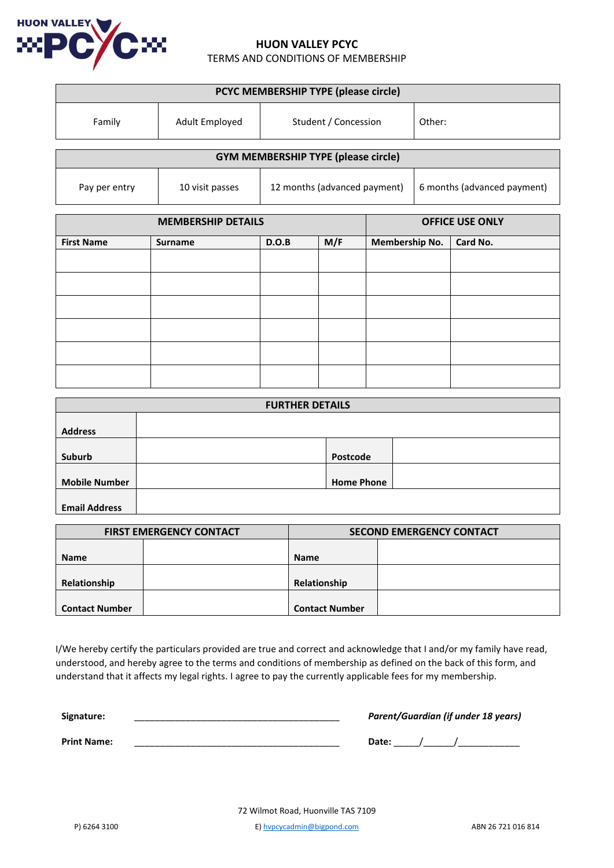

# **HUON VALLEY PCYC**

TERMS AND CONDITIONS OF MEMBERSHIP

| PCYC MEMBERSHIP TYPE (please circle)       |                 |                              |                             |  |
|--------------------------------------------|-----------------|------------------------------|-----------------------------|--|
| Family                                     | Adult Employed  | Student / Concession         | Other:                      |  |
| <b>GYM MEMBERSHIP TYPE (please circle)</b> |                 |                              |                             |  |
| Pay per entry                              | 10 visit passes | 12 months (advanced payment) | 6 months (advanced payment) |  |

| <b>MEMBERSHIP DETAILS</b> |         |       | <b>OFFICE USE ONLY</b> |                       |          |
|---------------------------|---------|-------|------------------------|-----------------------|----------|
| <b>First Name</b>         | Surname | D.O.B | M/F                    | <b>Membership No.</b> | Card No. |
|                           |         |       |                        |                       |          |
|                           |         |       |                        |                       |          |
|                           |         |       |                        |                       |          |
|                           |         |       |                        |                       |          |
|                           |         |       |                        |                       |          |
|                           |         |       |                        |                       |          |

| <b>FURTHER DETAILS</b> |  |                   |  |
|------------------------|--|-------------------|--|
| <b>Address</b>         |  |                   |  |
| Suburb                 |  | Postcode          |  |
| <b>Mobile Number</b>   |  | <b>Home Phone</b> |  |
| <b>Email Address</b>   |  |                   |  |

| <b>FIRST EMERGENCY CONTACT</b> |  | <b>SECOND EMERGENCY CONTACT</b> |  |
|--------------------------------|--|---------------------------------|--|
|                                |  |                                 |  |
| Name                           |  | <b>Name</b>                     |  |
|                                |  |                                 |  |
| Relationship                   |  | Relationship                    |  |
|                                |  |                                 |  |
| <b>Contact Number</b>          |  | <b>Contact Number</b>           |  |

I/We hereby certify the particulars provided are true and correct and acknowledge that I and/or my family have read, understood, and hereby agree to the terms and conditions of membership as defined on the back of this form, and understand that it affects my legal rights. I agree to pay the currently applicable fees for my membership.

| Signature:         | Parent/Guardian (if under 18 years) |  |
|--------------------|-------------------------------------|--|
| <b>Print Name:</b> | Date:                               |  |